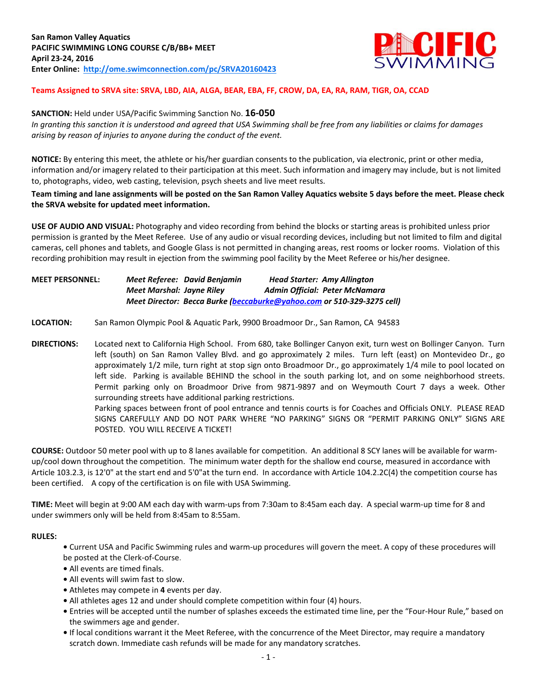

# **Teams Assigned to SRVA site: SRVA, LBD, AIA, ALGA, BEAR, EBA, FF, CROW, DA, EA, RA, RAM, TIGR, OA, CCAD**

#### **SANCTION:** Held under USA/Pacific Swimming Sanction No. **16-050**

*In granting this sanction it is understood and agreed that USA Swimming shall be free from any liabilities or claims for damages arising by reason of injuries to anyone during the conduct of the event.*

**NOTICE:** By entering this meet, the athlete or his/her guardian consents to the publication, via electronic, print or other media, information and/or imagery related to their participation at this meet. Such information and imagery may include, but is not limited to, photographs, video, web casting, television, psych sheets and live meet results.

## **Team timing and lane assignments will be posted on the San Ramon Valley Aquatics website 5 days before the meet. Please check the SRVA website for updated meet information.**

**USE OF AUDIO AND VISUAL:** Photography and video recording from behind the blocks or starting areas is prohibited unless prior permission is granted by the Meet Referee. Use of any audio or visual recording devices, including but not limited to film and digital cameras, cell phones and tablets, and Google Glass is not permitted in changing areas, rest rooms or locker rooms. Violation of this recording prohibition may result in ejection from the swimming pool facility by the Meet Referee or his/her designee.

# **MEET PERSONNEL:** *Meet Referee: David Benjamin Head Starter: Amy Allington Meet Marshal: Jayne Riley Admin Official: Peter McNamara Meet Director: Becca Burke [\(beccaburke@yahoo.com](mailto:beccaburke@yahoo.com) or 510-329-3275 cell)*

## **LOCATION:** San Ramon Olympic Pool & Aquatic Park, 9900 Broadmoor Dr., San Ramon, CA 94583

**DIRECTIONS:** Located next to California High School. From 680, take Bollinger Canyon exit, turn west on Bollinger Canyon. Turn left (south) on San Ramon Valley Blvd. and go approximately 2 miles. Turn left (east) on Montevideo Dr., go approximately 1/2 mile, turn right at stop sign onto Broadmoor Dr., go approximately 1/4 mile to pool located on left side. Parking is available BEHIND the school in the south parking lot, and on some neighborhood streets. Permit parking only on Broadmoor Drive from 9871-9897 and on Weymouth Court 7 days a week. Other surrounding streets have additional parking restrictions. Parking spaces between front of pool entrance and tennis courts is for Coaches and Officials ONLY. PLEASE READ SIGNS CAREFULLY AND DO NOT PARK WHERE "NO PARKING" SIGNS OR "PERMIT PARKING ONLY" SIGNS ARE

POSTED. YOU WILL RECEIVE A TICKET!

**COURSE:** Outdoor 50 meter pool with up to 8 lanes available for competition. An additional 8 SCY lanes will be available for warmup/cool down throughout the competition. The minimum water depth for the shallow end course, measured in accordance with Article 103.2.3, is 12'0" at the start end and 5'0"at the turn end. In accordance with Article 104.2.2C(4) the competition course has been certified. A copy of the certification is on file with USA Swimming.

**TIME:** Meet will begin at 9:00 AM each day with warm-ups from 7:30am to 8:45am each day. A special warm-up time for 8 and under swimmers only will be held from 8:45am to 8:55am.

#### **RULES:**

**•** Current USA and Pacific Swimming rules and warm-up procedures will govern the meet. A copy of these procedures will be posted at the Clerk-of-Course.

- **•** All events are timed finals.
- **•** All events will swim fast to slow.
- **•** Athletes may compete in **4** events per day.
- **•** All athletes ages 12 and under should complete competition within four (4) hours.
- **•** Entries will be accepted until the number of splashes exceeds the estimated time line, per the "Four-Hour Rule," based on the swimmers age and gender.
- **•** If local conditions warrant it the Meet Referee, with the concurrence of the Meet Director, may require a mandatory scratch down. Immediate cash refunds will be made for any mandatory scratches.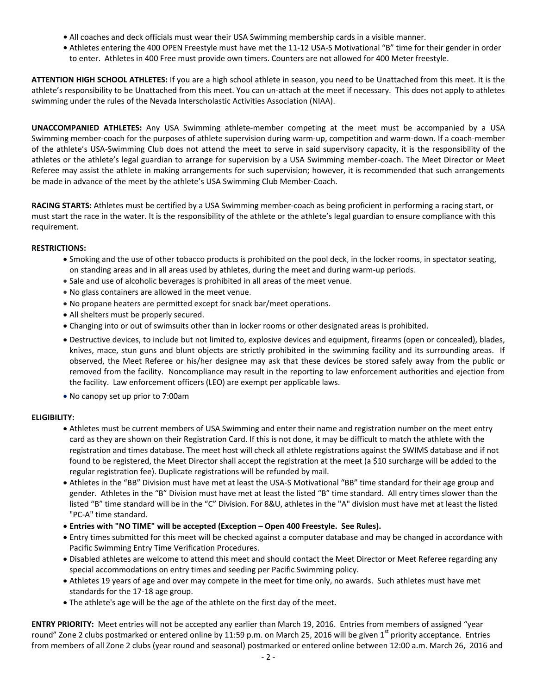- **•** All coaches and deck officials must wear their USA Swimming membership cards in a visible manner.
- **•** Athletes entering the 400 OPEN Freestyle must have met the 11-12 USA-S Motivational "B" time for their gender in order to enter.Athletes in 400 Free must provide own timers. Counters are not allowed for 400 Meter freestyle.

**ATTENTION HIGH SCHOOL ATHLETES:** If you are a high school athlete in season, you need to be Unattached from this meet. It is the athlete's responsibility to be Unattached from this meet. You can un-attach at the meet if necessary. This does not apply to athletes swimming under the rules of the Nevada Interscholastic Activities Association (NIAA).

**UNACCOMPANIED ATHLETES:** Any USA Swimming athlete-member competing at the meet must be accompanied by a USA Swimming member-coach for the purposes of athlete supervision during warm-up, competition and warm-down. If a coach-member of the athlete's USA-Swimming Club does not attend the meet to serve in said supervisory capacity, it is the responsibility of the athletes or the athlete's legal guardian to arrange for supervision by a USA Swimming member-coach. The Meet Director or Meet Referee may assist the athlete in making arrangements for such supervision; however, it is recommended that such arrangements be made in advance of the meet by the athlete's USA Swimming Club Member-Coach.

**RACING STARTS:** Athletes must be certified by a USA Swimming member-coach as being proficient in performing a racing start, or must start the race in the water. It is the responsibility of the athlete or the athlete's legal guardian to ensure compliance with this requirement.

# **RESTRICTIONS:**

- Smoking and the use of other tobacco products is prohibited on the pool deck, in the locker rooms, in spectator seating, on standing areas and in all areas used by athletes, during the meet and during warm-up periods.
- Sale and use of alcoholic beverages is prohibited in all areas of the meet venue.
- No glass containers are allowed in the meet venue.
- No propane heaters are permitted except for snack bar/meet operations.
- All shelters must be properly secured.
- Changing into or out of swimsuits other than in locker rooms or other designated areas is prohibited.
- Destructive devices, to include but not limited to, explosive devices and equipment, firearms (open or concealed), blades, knives, mace, stun guns and blunt objects are strictly prohibited in the swimming facility and its surrounding areas. If observed, the Meet Referee or his/her designee may ask that these devices be stored safely away from the public or removed from the facility. Noncompliance may result in the reporting to law enforcement authorities and ejection from the facility. Law enforcement officers (LEO) are exempt per applicable laws.
- No canopy set up prior to 7:00am

# **ELIGIBILITY:**

- Athletes must be current members of USA Swimming and enter their name and registration number on the meet entry card as they are shown on their Registration Card. If this is not done, it may be difficult to match the athlete with the registration and times database. The meet host will check all athlete registrations against the SWIMS database and if not found to be registered, the Meet Director shall accept the registration at the meet (a \$10 surcharge will be added to the regular registration fee). Duplicate registrations will be refunded by mail.
- Athletes in the "BB" Division must have met at least the USA-S Motivational "BB" time standard for their age group and gender. Athletes in the "B" Division must have met at least the listed "B" time standard. All entry times slower than the listed "B" time standard will be in the "C" Division. For 8&U, athletes in the "A" division must have met at least the listed "PC-A" time standard.
- **Entries with "NO TIME" will be accepted (Exception – Open 400 Freestyle. See Rules).**
- Entry times submitted for this meet will be checked against a computer database and may be changed in accordance with Pacific Swimming Entry Time Verification Procedures.
- Disabled athletes are welcome to attend this meet and should contact the Meet Director or Meet Referee regarding any special accommodations on entry times and seeding per Pacific Swimming policy.
- Athletes 19 years of age and over may compete in the meet for time only, no awards. Such athletes must have met standards for the 17-18 age group.
- The athlete's age will be the age of the athlete on the first day of the meet.

**ENTRY PRIORITY:** Meet entries will not be accepted any earlier than March 19, 2016. Entries from members of assigned "year round" Zone 2 clubs postmarked or entered online by 11:59 p.m. on March 25, 2016 will be given  $1<sup>st</sup>$  priority acceptance. Entries from members of all Zone 2 clubs (year round and seasonal) postmarked or entered online between 12:00 a.m. March 26, 2016 and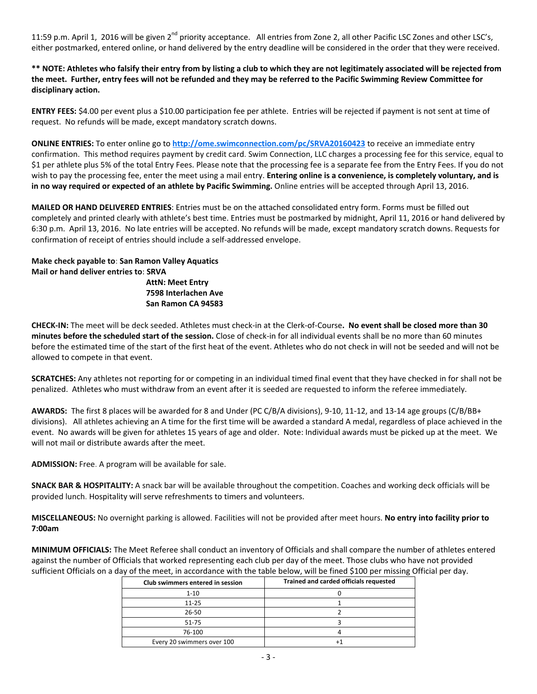11:59 p.m. April 1, 2016 will be given 2<sup>nd</sup> priority acceptance. All entries from Zone 2, all other Pacific LSC Zones and other LSC's, either postmarked, entered online, or hand delivered by the entry deadline will be considered in the order that they were received.

**\*\* NOTE: Athletes who falsify their entry from by listing a club to which they are not legitimately associated will be rejected from the meet. Further, entry fees will not be refunded and they may be referred to the Pacific Swimming Review Committee for disciplinary action.**

**ENTRY FEES:** \$4.00 per event plus a \$10.00 participation fee per athlete. Entries will be rejected if payment is not sent at time of request. No refunds will be made, except mandatory scratch downs.

**ONLINE ENTRIES:** To enter online go to **http://ome.swimconnection.com/pc/SRVA20160423** to receive an immediate entry confirmation. This method requires payment by credit card. Swim Connection, LLC charges a processing fee for this service, equal to \$1 per athlete plus 5% of the total Entry Fees. Please note that the processing fee is a separate fee from the Entry Fees. If you do not wish to pay the processing fee, enter the meet using a mail entry. **Entering online is a convenience, is completely voluntary, and is in no way required or expected of an athlete by Pacific Swimming.** Online entries will be accepted through April 13, 2016.

**MAILED OR HAND DELIVERED ENTRIES**: Entries must be on the attached consolidated entry form. Forms must be filled out completely and printed clearly with athlete's best time. Entries must be postmarked by midnight, April 11, 2016 or hand delivered by 6:30 p.m. April 13, 2016. No late entries will be accepted. No refunds will be made, except mandatory scratch downs. Requests for confirmation of receipt of entries should include a self-addressed envelope.

**Make check payable to**: **San Ramon Valley Aquatics Mail or hand deliver entries to**: **SRVA AttN: Meet Entry 7598 Interlachen Ave San Ramon CA 94583**

**CHECK-IN:** The meet will be deck seeded. Athletes must check-in at the Clerk-of-Course**. No event shall be closed more than 30 minutes before the scheduled start of the session.** Close of check-in for all individual events shall be no more than 60 minutes before the estimated time of the start of the first heat of the event. Athletes who do not check in will not be seeded and will not be allowed to compete in that event.

**SCRATCHES:** Any athletes not reporting for or competing in an individual timed final event that they have checked in for shall not be penalized. Athletes who must withdraw from an event after it is seeded are requested to inform the referee immediately.

**AWARDS:** The first 8 places will be awarded for 8 and Under (PC C/B/A divisions), 9-10, 11-12, and 13-14 age groups (C/B/BB+ divisions). All athletes achieving an A time for the first time will be awarded a standard A medal, regardless of place achieved in the event. No awards will be given for athletes 15 years of age and older. Note: Individual awards must be picked up at the meet. We will not mail or distribute awards after the meet.

**ADMISSION:** Free. A program will be available for sale.

**SNACK BAR & HOSPITALITY:** A snack bar will be available throughout the competition. Coaches and working deck officials will be provided lunch. Hospitality will serve refreshments to timers and volunteers.

**MISCELLANEOUS:** No overnight parking is allowed. Facilities will not be provided after meet hours. **No entry into facility prior to 7:00am**

**MINIMUM OFFICIALS:** The Meet Referee shall conduct an inventory of Officials and shall compare the number of athletes entered against the number of Officials that worked representing each club per day of the meet. Those clubs who have not provided sufficient Officials on a day of the meet, in accordance with the table below, will be fined \$100 per missing Official per day.

| Club swimmers entered in session | Trained and carded officials requested |
|----------------------------------|----------------------------------------|
| $1 - 10$                         |                                        |
| $11 - 25$                        |                                        |
| $26 - 50$                        |                                        |
| $51 - 75$                        |                                        |
| 76-100                           |                                        |
| Every 20 swimmers over 100       |                                        |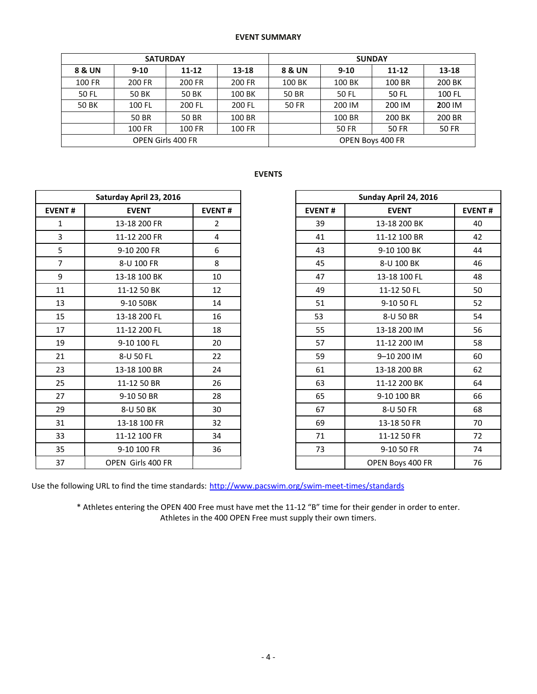## **EVENT SUMMARY**

|                          | <b>SATURDAY</b> |           |        | <b>SUNDAY</b>    |              |              |              |  |  |
|--------------------------|-----------------|-----------|--------|------------------|--------------|--------------|--------------|--|--|
| <b>8 &amp; UN</b>        | $9-10$          | $11 - 12$ | 13-18  | 8 & UN           | $9 - 10$     | $11 - 12$    | 13-18        |  |  |
| 100 FR                   | 200 FR          | 200 FR    | 200 FR | 100 BK           | 100 BK       | 100 BR       | 200 BK       |  |  |
| 50 FL                    | 50 BK           | 50 BK     | 100 BK | 50 BR            | 50 FL        | 50 FL        | 100 FL       |  |  |
| 50 BK                    | 100 FL          | 200 FL    | 200 FL | <b>50 FR</b>     | 200 IM       | 200 IM       | 200 IM       |  |  |
|                          | 50 BR           | 50 BR     | 100 BR |                  | 100 BR       | 200 BK       | 200 BR       |  |  |
|                          | 100 FR          | 100 FR    | 100 FR |                  | <b>50 FR</b> | <b>50 FR</b> | <b>50 FR</b> |  |  |
| <b>OPEN Girls 400 FR</b> |                 |           |        | OPEN Boys 400 FR |              |              |              |  |  |

## **EVENTS**

|                | Saturday April 23, 2016 |                | Sunday April 24, 2016 |                  |
|----------------|-------------------------|----------------|-----------------------|------------------|
| <b>EVENT#</b>  | <b>EVENT</b>            | <b>EVENT#</b>  | <b>EVENT#</b>         | <b>EVENT</b>     |
| $\mathbf{1}$   | 13-18 200 FR            | $\overline{2}$ | 39                    | 13-18 200 BK     |
| $\overline{3}$ | 11-12 200 FR            | 4              | 41                    | 11-12 100 BR     |
| 5              | 9-10 200 FR             | 6              | 43                    | 9-10 100 BK      |
| $\overline{7}$ | 8-U 100 FR              | 8              | 45                    | 8-U 100 BK       |
| 9              | 13-18 100 BK            | 10             | 47                    | 13-18 100 FL     |
| 11             | 11-12 50 BK             | 12             | 49                    | 11-12 50 FL      |
| 13             | 9-10 50BK               | 14             | 51                    | 9-10 50 FL       |
| 15             | 13-18 200 FL            | 16             | 53                    | 8-U 50 BR        |
| 17             | 11-12 200 FL            | 18             | 55                    | 13-18 200 IM     |
| 19             | 9-10 100 FL             | 20             | 57                    | 11-12 200 IM     |
| 21             | 8-U 50 FL               | 22             | 59                    | 9-10 200 IM      |
| 23             | 13-18 100 BR            | 24             | 61                    | 13-18 200 BR     |
| 25             | 11-12 50 BR             | 26             | 63                    | 11-12 200 BK     |
| 27             | 9-10 50 BR              | 28             | 65                    | 9-10 100 BR      |
| 29             | 8-U 50 BK               | 30             | 67                    | 8-U 50 FR        |
| 31             | 13-18 100 FR            | 32             | 69                    | 13-18 50 FR      |
| 33             | 11-12 100 FR            | 34             | 71                    | 11-12 50 FR      |
| 35             | 9-10 100 FR             | 36             | 73                    | 9-10 50 FR       |
| 37             | OPEN Girls 400 FR       |                |                       | OPEN Boys 400 FR |

|                | Saturday April 23, 2016 |                | Sunday April 24, 2016 |                  |    |
|----------------|-------------------------|----------------|-----------------------|------------------|----|
| <b>EVENT#</b>  | <b>EVENT</b>            | <b>EVENT#</b>  | <b>EVENT#</b>         | <b>EVENT</b>     |    |
| $\mathbf{1}$   | 13-18 200 FR            | $\overline{2}$ | 39                    | 13-18 200 BK     | 40 |
| 3              | 11-12 200 FR            | 4              | 41                    | 11-12 100 BR     | 42 |
| 5              | 9-10 200 FR             | 6              | 43                    | 9-10 100 BK      | 44 |
| $\overline{7}$ | 8-U 100 FR              | 8              | 45                    | 8-U 100 BK       | 46 |
| 9              | 13-18 100 BK            | 10             | 47                    | 13-18 100 FL     | 48 |
| 11             | 11-12 50 BK             | 12             | 49                    | 11-12 50 FL      | 50 |
| 13             | 9-10 50BK               | 14             | 51                    | 9-10 50 FL       | 52 |
| 15             | 13-18 200 FL            | 16             | 53                    | 8-U 50 BR        | 54 |
| 17             | 11-12 200 FL            | 18             | 55                    | 13-18 200 IM     | 56 |
| 19             | 9-10 100 FL             | 20             | 57                    | 11-12 200 IM     | 58 |
| 21             | 8-U 50 FL               | 22             | 59                    | 9-10 200 IM      | 60 |
| 23             | 13-18 100 BR            | 24             | 61                    | 13-18 200 BR     | 62 |
| 25             | 11-12 50 BR             | 26             | 63                    | 11-12 200 BK     | 64 |
| 27             | 9-10 50 BR              | 28             | 65                    | 9-10 100 BR      | 66 |
| 29             | 8-U 50 BK               | 30             | 67                    | 8-U 50 FR        | 68 |
| 31             | 13-18 100 FR            | 32             | 69                    | 13-18 50 FR      | 70 |
| 33             | 11-12 100 FR            | 34             | 71                    | 11-12 50 FR      | 72 |
| 35             | 9-10 100 FR             | 36             | 73                    | 9-10 50 FR       | 74 |
| 37             | OPEN Girls 400 FR       |                |                       | OPEN Boys 400 FR | 76 |

Use the following URL to find the time standards: <http://www.pacswim.org/swim-meet-times/standards>

\* Athletes entering the OPEN 400 Free must have met the 11-12 "B" time for their gender in order to enter. Athletes in the 400 OPEN Free must supply their own timers.